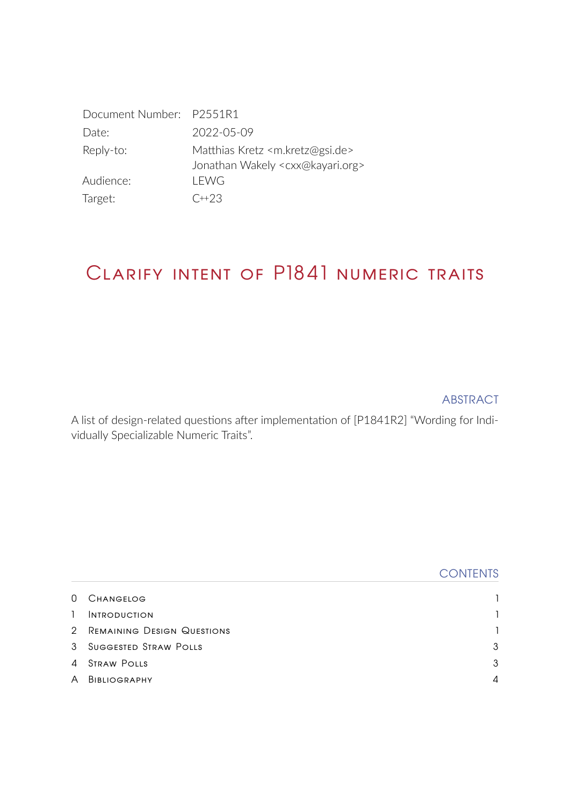| Document Number: P2551R1 |                                                                                                        |
|--------------------------|--------------------------------------------------------------------------------------------------------|
| Date:                    | 2022-05-09                                                                                             |
| Reply-to:                | Matthias Kretz <m.kretz@gsi.de><br/>Jonathan Wakely <cxx@kayari.org></cxx@kayari.org></m.kretz@gsi.de> |
| Audience:                | LEWG                                                                                                   |
| Target:                  | $C+23$                                                                                                 |

# Clarify intent of P1841 numeric traits

ABSTRACT

A list of design-related questions after implementation of [\[P1841R2\]](#page-4-0) "Wording for Individually Specializable Numeric Traits".

|              |                              | <b>CONTENTS</b> |
|--------------|------------------------------|-----------------|
| $\Omega$     | <b>CHANGELOG</b>             |                 |
| $\mathbf{1}$ | <b>INTRODUCTION</b>          |                 |
|              | 2 REMAINING DESIGN QUESTIONS |                 |
|              | 3 SUGGESTED STRAW POLLS      | 3               |
| $\Delta$     | STRAW POLLS                  | $\mathbf{3}$    |
| $\mathsf{A}$ | BIBLIOGRAPHY                 | $\overline{4}$  |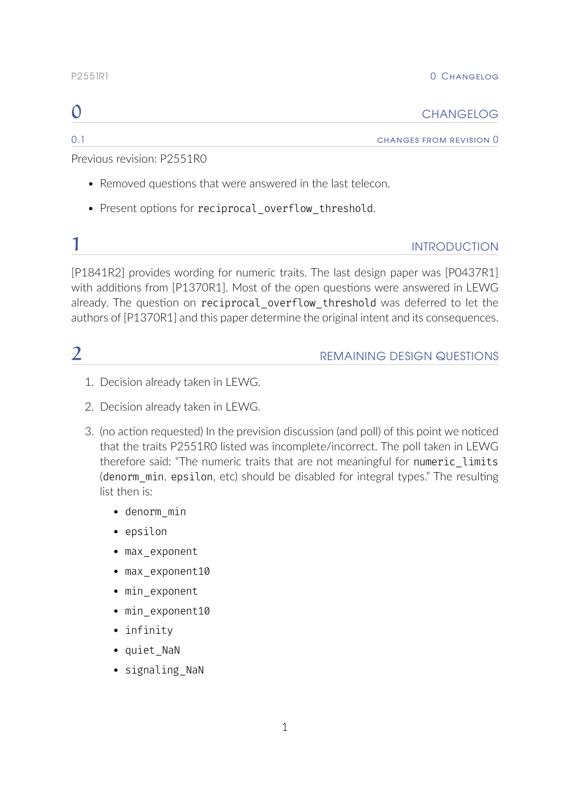### P<sub>255</sub>1R<sub>1</sub> P<sub>255</sub>1R<sub>1</sub> P<sub>255</sub>1R<sub>1</sub>

<span id="page-1-0"></span>

| ⌒<br>◡ | <b>CHANGELOG</b> |
|--------|------------------|
|        |                  |

0.1 **changes from revision 0** 

Previous revision: [P2551R0](https://wg21.link/P2551R0)

- Removed questions that were answered in the last telecon.
- Present options for reciprocal overflow threshold.

### <span id="page-1-1"></span>**1** INTRODUCTION

[\[P1841R2\]](#page-4-0) provides wording for numeric traits. The last design paper was [\[P0437R1\]](#page-4-2) with additions from [\[P1370R1\]](#page-4-3). Most of the open questions were answered in LEWG already. The question on reciprocal overflow threshold was deferred to let the authors of [\[P1370R1\]](#page-4-3) and this paper determine the original intent and its consequences.

## <span id="page-1-2"></span>**2** REMAINING DESIGN QUESTIONS

- 1. Decision already taken in LEWG.
- 2. Decision already taken in LEWG.
- 3. (no action requested) In the prevision discussion (and poll) of this point we noticed that the traits P2551R0 listed was incomplete/incorrect. The poll taken in LEWG therefore said: "The numeric traits that are not meaningful for numeric limits (denorm min, epsilon, etc) should be disabled for integral types." The resulting list then is:
	- $\bullet$  denorm min
	- $\bullet$  epsilon
	- max exponent
	- $•$  max\_exponent10
	- min\_exponent
	- $\bullet$  min\_exponent10
	- $\bullet$  infinity
	- quiet\_NaN
	- signaling NaN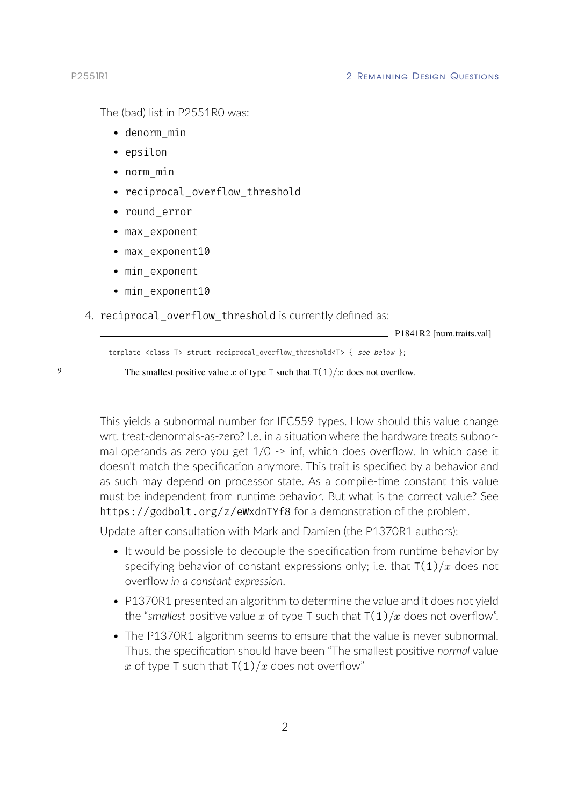The (bad) list in P2551R0 was:

- $\bullet$  denorm min
- epsilon
- $\bullet$  norm min
- reciprocal overflow threshold
- round error
- max exponent
- $\bullet$  max exponent 10
- min\_exponent
- $\bullet$  min exponent 10
- 4. reciprocal\_overflow\_threshold is currently defined as:

 $-$  P1841R2 [num.traits.val]

template <class T> struct reciprocal overflow threshold<T> { see below };

9 The smallest positive value x of type T such that  $T(1)/x$  does not overflow.

This yields a subnormal number for IEC559 types. How should this value change wrt. treat-denormals-as-zero? I.e. in a situation where the hardware treats subnormal operands as zero you get 1/0 -> inf, which does overflow. In which case it doesn't match the specification anymore. This trait is specified by a behavior and as such may depend on processor state. As a compile-time constant this value must be independent from runtime behavior. But what is the correct value? See https://godbolt.org/z/eWxdnTYf8 for a demonstration of the problem.

Update after consultation with Mark and Damien (the P1370R1 authors):

- It would be possible to decouple the specification from runtime behavior by specifying behavior of constant expressions only; i.e. that  $T(1)/x$  does not overflow *in a constant expression*.
- P1370R1 presented an algorithm to determine the value and it does not yield the "*smallest* positive value x of type T such that  $T(1)/x$  does not overflow".
- The P1370R1 algorithm seems to ensure that the value is never subnormal. Thus, the specification should have been "The smallest positive *normal* value x of type T such that  $T(1)/x$  does not overflow"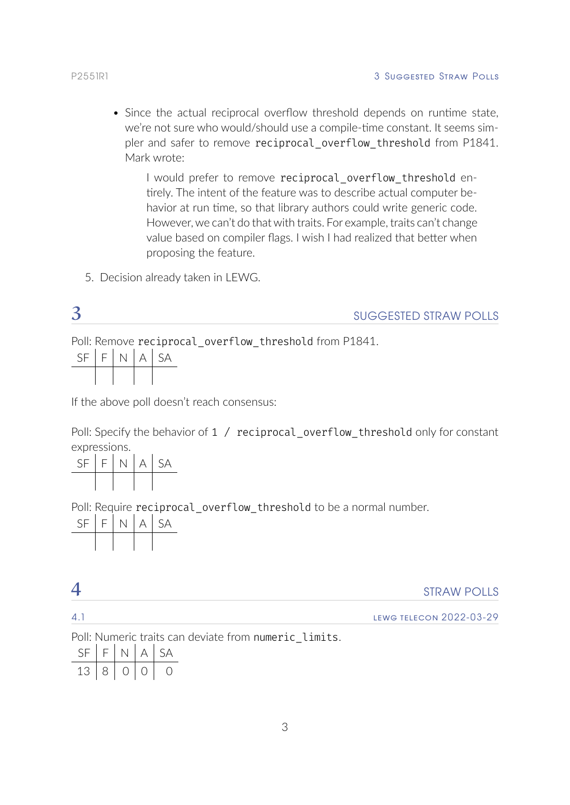• Since the actual reciprocal overflow threshold depends on runtime state, we're not sure who would/should use a compile-time constant. It seems simpler and safer to remove reciprocal\_overflow\_threshold from P1841. Mark wrote:

I would prefer to remove reciprocal overflow threshold entirely. The intent of the feature was to describe actual computer behavior at run time, so that library authors could write generic code. However, we can't do that with traits. For example, traits can't change value based on compiler flags. I wish I had realized that better when proposing the feature.

5. Decision already taken in LEWG.

<span id="page-3-0"></span>

|                  |  | <b>SUGGESTED STRAW POLLS</b>                           |
|------------------|--|--------------------------------------------------------|
|                  |  | Poll: Remove reciprocal overflow threshold from P1841. |
| $SF$ $F$ $N$ $A$ |  |                                                        |
|                  |  |                                                        |

If the above poll doesn't reach consensus:

Poll: Specify the behavior of 1 / reciprocal\_overflow\_threshold only for constant expressions.

| <b>SF</b> | $F$ . | N. | $\forall$ | SA |
|-----------|-------|----|-----------|----|
|           |       |    |           |    |

Poll: Require reciprocal overflow threshold to be a normal number.



<span id="page-3-1"></span>

|                 | <b>STRAW POLLS</b>             |
|-----------------|--------------------------------|
| $\mathcal{A}$ . | <b>LEWG TELECON 2022-03-29</b> |

Poll: Numeric traits can deviate from numeric\_limits.

| N. |   | $\Delta A$ |
|----|---|------------|
| ਾ⊰ | ( |            |